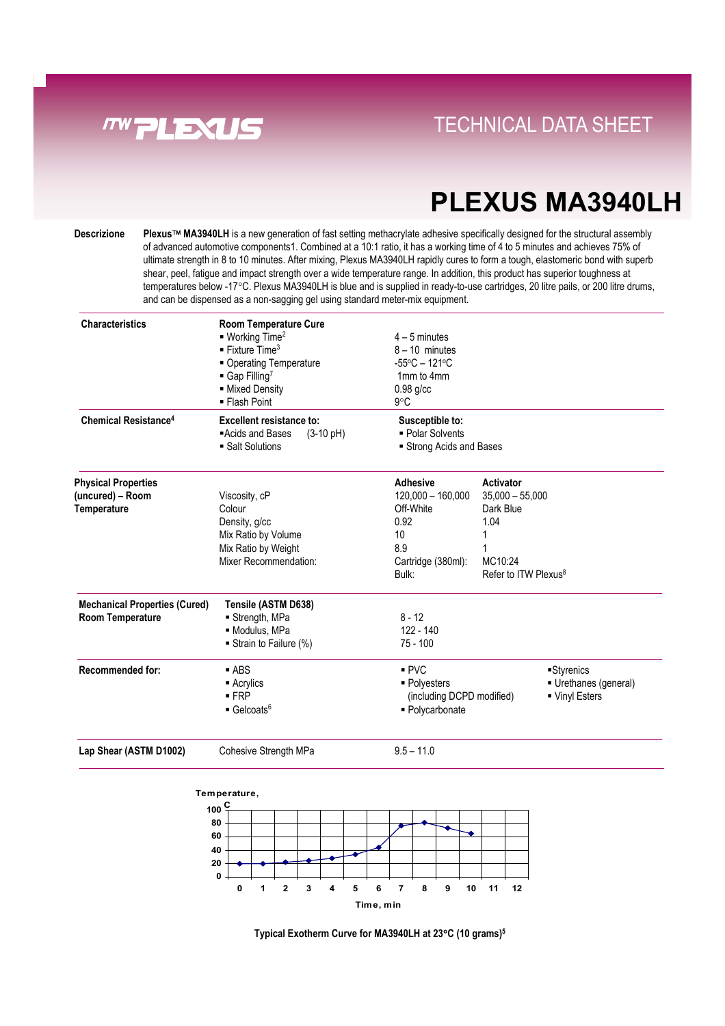

# **PLEXUS MA3940LH**

**Descrizione Plexus MA3940LH** is a new generation of fast setting methacrylate adhesive specifically designed for the structural assembly of advanced automotive components1. Combined at a 10:1 ratio, it has a working time of 4 to 5 minutes and achieves 75% of ultimate strength in 8 to 10 minutes. After mixing, Plexus MA3940LH rapidly cures to form a tough, elastomeric bond with superb shear, peel, fatigue and impact strength over a wide temperature range. In addition, this product has superior toughness at temperatures below -17°C. Plexus MA3940LH is blue and is supplied in ready-to-use cartridges, 20 litre pails, or 200 litre drums, and can be dispensed as a non-sagging gel using standard meter-mix equipment.

| <b>Characteristics</b><br><b>Chemical Resistance<sup>4</sup></b>                           | <b>Room Temperature Cure</b><br>$\blacksquare$ Working Time <sup>2</sup><br>$\blacksquare$ Fixture Time <sup>3</sup><br>• Operating Temperature<br>$\blacksquare$ Gap Filling <sup>7</sup><br>- Mixed Density<br>■ Flash Point<br><b>Excellent resistance to:</b> | $4 - 5$ minutes<br>$8 - 10$ minutes<br>$-55^{\circ}$ C - 121 $^{\circ}$ C<br>1mm to 4mm<br>$0.98$ g/cc<br>$9^{\circ}$ C<br>Susceptible to: |                                                                                                    |                                                      |
|--------------------------------------------------------------------------------------------|-------------------------------------------------------------------------------------------------------------------------------------------------------------------------------------------------------------------------------------------------------------------|--------------------------------------------------------------------------------------------------------------------------------------------|----------------------------------------------------------------------------------------------------|------------------------------------------------------|
|                                                                                            | Acids and Bases<br>$(3-10 \text{ pH})$<br>• Salt Solutions                                                                                                                                                                                                        | - Polar Solvents<br>Strong Acids and Bases                                                                                                 |                                                                                                    |                                                      |
| <b>Physical Properties</b><br>(uncured) - Room<br><b>Temperature</b>                       | Viscosity, cP<br>Colour<br>Density, g/cc<br>Mix Ratio by Volume<br>Mix Ratio by Weight<br>Mixer Recommendation:                                                                                                                                                   | <b>Adhesive</b><br>$120,000 - 160,000$<br>Off-White<br>0.92<br>10<br>8.9<br>Cartridge (380ml):<br>Bulk:                                    | Activator<br>$35,000 - 55,000$<br>Dark Blue<br>1.04<br>MC10:24<br>Refer to ITW Plexus <sup>8</sup> |                                                      |
| <b>Mechanical Properties (Cured)</b><br><b>Room Temperature</b><br><b>Recommended for:</b> | Tensile (ASTM D638)<br>Strength, MPa<br>· Modulus, MPa<br>Strain to Failure (%)<br>$-$ ABS<br>■ Acrylics<br>$-FRP$<br>$\blacksquare$ Gelcoats <sup>6</sup>                                                                                                        | $8 - 12$<br>122 - 140<br>$75 - 100$<br>PVC<br>■ Polyesters<br>(including DCPD modified)<br>· Polycarbonate                                 |                                                                                                    | Styrenics<br>■ Urethanes (general)<br>• Vinyl Esters |
| Lap Shear (ASTM D1002)                                                                     | Cohesive Strength MPa                                                                                                                                                                                                                                             | $9.5 - 11.0$                                                                                                                               |                                                                                                    |                                                      |



**Typical Exotherm Curve for MA3940LH at 23**°**C (10 grams)5**